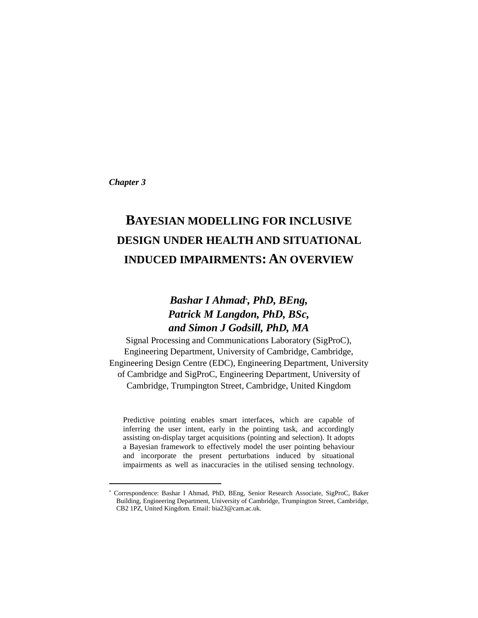*Chapter 3*

l

# **BAYESIAN MODELLING FOR INCLUSIVE DESIGN UNDER HEALTH AND SITUATIONAL INDUCED IMPAIRMENTS: AN OVERVIEW**

# *Bashar I Ahmad\* , PhD, BEng, Patrick M Langdon, PhD, BSc, and Simon J Godsill, PhD, MA*

Signal Processing and Communications Laboratory (SigProC), Engineering Department, University of Cambridge, Cambridge, Engineering Design Centre (EDC), Engineering Department, University of Cambridge and SigProC, Engineering Department, University of Cambridge, Trumpington Street, Cambridge, United Kingdom

Predictive pointing enables smart interfaces, which are capable of inferring the user intent, early in the pointing task, and accordingly assisting on-display target acquisitions (pointing and selection). It adopts a Bayesian framework to effectively model the user pointing behaviour and incorporate the present perturbations induced by situational impairments as well as inaccuracies in the utilised sensing technology.

<sup>\*</sup> Correspondence: Bashar I Ahmad, PhD, BEng, Senior Research Associate, SigProC, Baker Building, Engineering Department, University of Cambridge, Trumpington Street, Cambridge, CB2 1PZ, United Kingdom. Email: bia23@cam.ac.uk.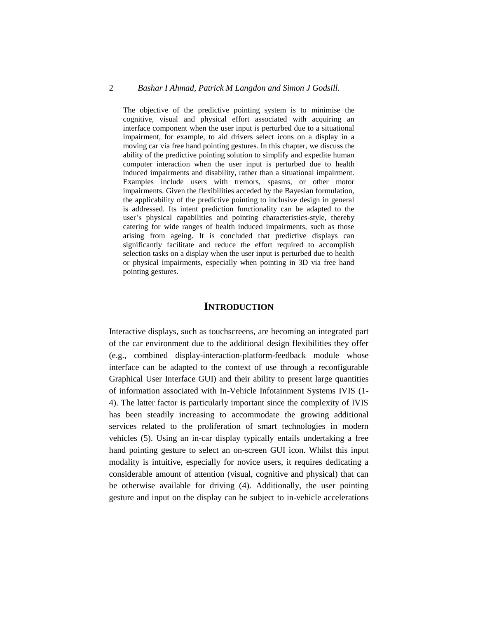# 2 *Bashar I Ahmad, Patrick M Langdon and Simon J Godsill.*

The objective of the predictive pointing system is to minimise the cognitive, visual and physical effort associated with acquiring an interface component when the user input is perturbed due to a situational impairment, for example, to aid drivers select icons on a display in a moving car via free hand pointing gestures. In this chapter, we discuss the ability of the predictive pointing solution to simplify and expedite human computer interaction when the user input is perturbed due to health induced impairments and disability, rather than a situational impairment. Examples include users with tremors, spasms, or other motor impairments. Given the flexibilities acceded by the Bayesian formulation, the applicability of the predictive pointing to inclusive design in general is addressed. Its intent prediction functionality can be adapted to the user's physical capabilities and pointing characteristics-style, thereby catering for wide ranges of health induced impairments, such as those arising from ageing. It is concluded that predictive displays can significantly facilitate and reduce the effort required to accomplish selection tasks on a display when the user input is perturbed due to health or physical impairments, especially when pointing in 3D via free hand pointing gestures.

# **INTRODUCTION**

Interactive displays, such as touchscreens, are becoming an integrated part of the car environment due to the additional design flexibilities they offer (e.g., combined display-interaction-platform-feedback module whose interface can be adapted to the context of use through a reconfigurable Graphical User Interface GUI) and their ability to present large quantities of information associated with In-Vehicle Infotainment Systems IVIS (1- 4). The latter factor is particularly important since the complexity of IVIS has been steadily increasing to accommodate the growing additional services related to the proliferation of smart technologies in modern vehicles (5). Using an in-car display typically entails undertaking a free hand pointing gesture to select an on-screen GUI icon. Whilst this input modality is intuitive, especially for novice users, it requires dedicating a considerable amount of attention (visual, cognitive and physical) that can be otherwise available for driving (4). Additionally, the user pointing gesture and input on the display can be subject to in-vehicle accelerations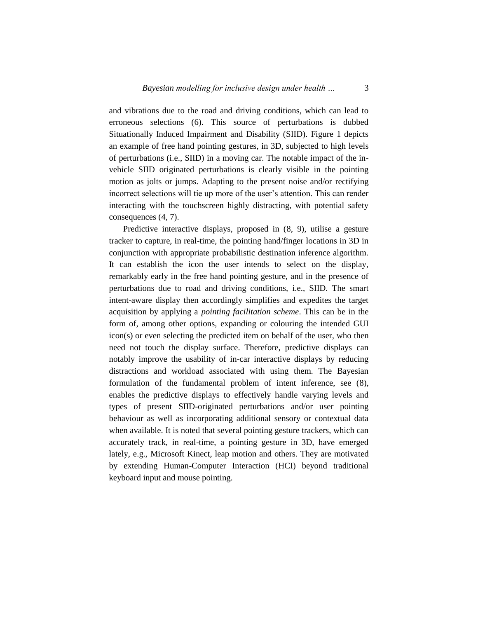and vibrations due to the road and driving conditions, which can lead to erroneous selections (6). This source of perturbations is dubbed Situationally Induced Impairment and Disability (SIID). Figure 1 depicts an example of free hand pointing gestures, in 3D, subjected to high levels of perturbations (i.e., SIID) in a moving car. The notable impact of the invehicle SIID originated perturbations is clearly visible in the pointing motion as jolts or jumps. Adapting to the present noise and/or rectifying incorrect selections will tie up more of the user's attention. This can render interacting with the touchscreen highly distracting, with potential safety consequences (4, 7).

Predictive interactive displays, proposed in (8, 9), utilise a gesture tracker to capture, in real-time, the pointing hand/finger locations in 3D in conjunction with appropriate probabilistic destination inference algorithm. It can establish the icon the user intends to select on the display, remarkably early in the free hand pointing gesture, and in the presence of perturbations due to road and driving conditions, i.e., SIID. The smart intent-aware display then accordingly simplifies and expedites the target acquisition by applying a *pointing facilitation scheme*. This can be in the form of, among other options, expanding or colouring the intended GUI icon(s) or even selecting the predicted item on behalf of the user, who then need not touch the display surface. Therefore, predictive displays can notably improve the usability of in-car interactive displays by reducing distractions and workload associated with using them. The Bayesian formulation of the fundamental problem of intent inference, see (8), enables the predictive displays to effectively handle varying levels and types of present SIID-originated perturbations and/or user pointing behaviour as well as incorporating additional sensory or contextual data when available. It is noted that several pointing gesture trackers, which can accurately track, in real-time, a pointing gesture in 3D, have emerged lately, e.g., Microsoft Kinect, leap motion and others. They are motivated by extending Human-Computer Interaction (HCI) beyond traditional keyboard input and mouse pointing.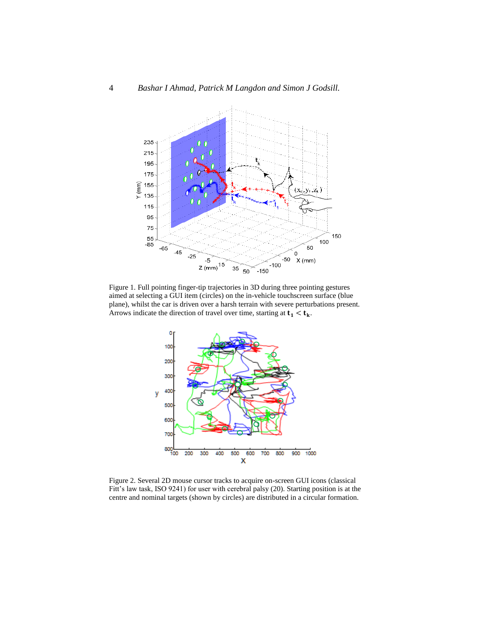



Figure 1. Full pointing finger-tip trajectories in 3D during three pointing gestures aimed at selecting a GUI item (circles) on the in-vehicle touchscreen surface (blue plane), whilst the car is driven over a harsh terrain with severe perturbations present. Arrows indicate the direction of travel over time, starting at  $t_1 < t_k$ .



Figure 2. Several 2D mouse cursor tracks to acquire on-screen GUI icons (classical Fitt's law task, ISO 9241) for user with cerebral palsy (20). Starting position is at the centre and nominal targets (shown by circles) are distributed in a circular formation.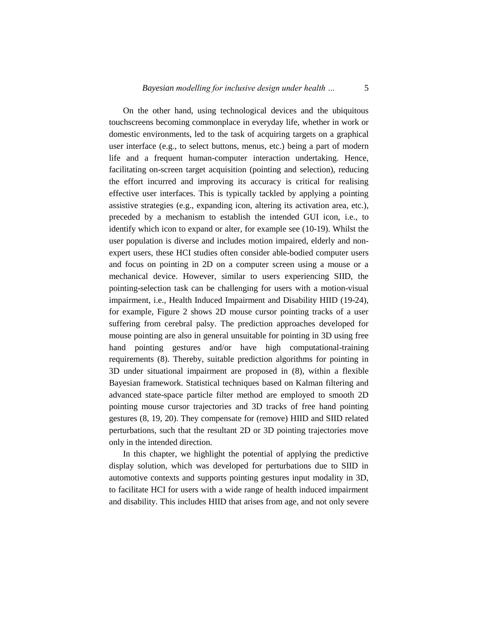On the other hand, using technological devices and the ubiquitous touchscreens becoming commonplace in everyday life, whether in work or domestic environments, led to the task of acquiring targets on a graphical user interface (e.g., to select buttons, menus, etc.) being a part of modern life and a frequent human-computer interaction undertaking. Hence, facilitating on-screen target acquisition (pointing and selection), reducing the effort incurred and improving its accuracy is critical for realising effective user interfaces. This is typically tackled by applying a pointing assistive strategies (e.g., expanding icon, altering its activation area, etc.), preceded by a mechanism to establish the intended GUI icon, i.e., to identify which icon to expand or alter, for example see (10-19). Whilst the user population is diverse and includes motion impaired, elderly and nonexpert users, these HCI studies often consider able-bodied computer users and focus on pointing in 2D on a computer screen using a mouse or a mechanical device. However, similar to users experiencing SIID, the pointing-selection task can be challenging for users with a motion-visual impairment, i.e., Health Induced Impairment and Disability HIID (19-24), for example, Figure 2 shows 2D mouse cursor pointing tracks of a user suffering from cerebral palsy. The prediction approaches developed for mouse pointing are also in general unsuitable for pointing in 3D using free hand pointing gestures and/or have high computational-training requirements (8). Thereby, suitable prediction algorithms for pointing in 3D under situational impairment are proposed in (8), within a flexible Bayesian framework. Statistical techniques based on Kalman filtering and advanced state-space particle filter method are employed to smooth 2D pointing mouse cursor trajectories and 3D tracks of free hand pointing gestures (8, 19, 20). They compensate for (remove) HIID and SIID related perturbations, such that the resultant 2D or 3D pointing trajectories move only in the intended direction.

In this chapter, we highlight the potential of applying the predictive display solution, which was developed for perturbations due to SIID in automotive contexts and supports pointing gestures input modality in 3D, to facilitate HCI for users with a wide range of health induced impairment and disability. This includes HIID that arises from age, and not only severe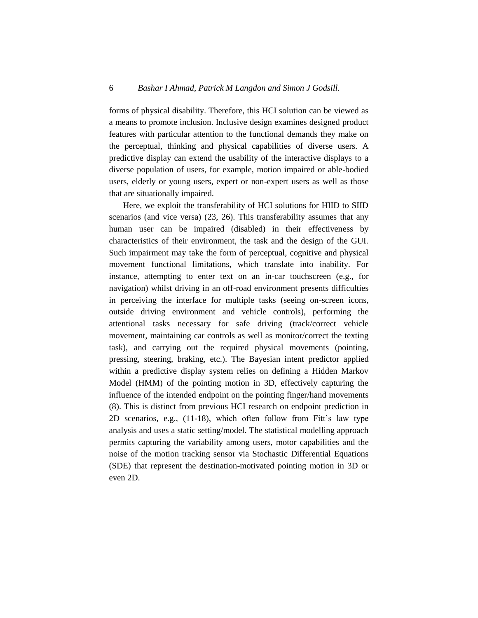forms of physical disability. Therefore, this HCI solution can be viewed as a means to promote inclusion. Inclusive design examines designed product features with particular attention to the functional demands they make on the perceptual, thinking and physical capabilities of diverse users. A predictive display can extend the usability of the interactive displays to a diverse population of users, for example, motion impaired or able-bodied users, elderly or young users, expert or non-expert users as well as those that are situationally impaired.

Here, we exploit the transferability of HCI solutions for HIID to SIID scenarios (and vice versa) (23, 26). This transferability assumes that any human user can be impaired (disabled) in their effectiveness by characteristics of their environment, the task and the design of the GUI. Such impairment may take the form of perceptual, cognitive and physical movement functional limitations, which translate into inability. For instance, attempting to enter text on an in-car touchscreen (e.g., for navigation) whilst driving in an off-road environment presents difficulties in perceiving the interface for multiple tasks (seeing on-screen icons, outside driving environment and vehicle controls), performing the attentional tasks necessary for safe driving (track/correct vehicle movement, maintaining car controls as well as monitor/correct the texting task), and carrying out the required physical movements (pointing, pressing, steering, braking, etc.). The Bayesian intent predictor applied within a predictive display system relies on defining a Hidden Markov Model (HMM) of the pointing motion in 3D, effectively capturing the influence of the intended endpoint on the pointing finger/hand movements (8). This is distinct from previous HCI research on endpoint prediction in 2D scenarios, e.g., (11-18), which often follow from Fitt's law type analysis and uses a static setting/model. The statistical modelling approach permits capturing the variability among users, motor capabilities and the noise of the motion tracking sensor via Stochastic Differential Equations (SDE) that represent the destination-motivated pointing motion in 3D or even 2D.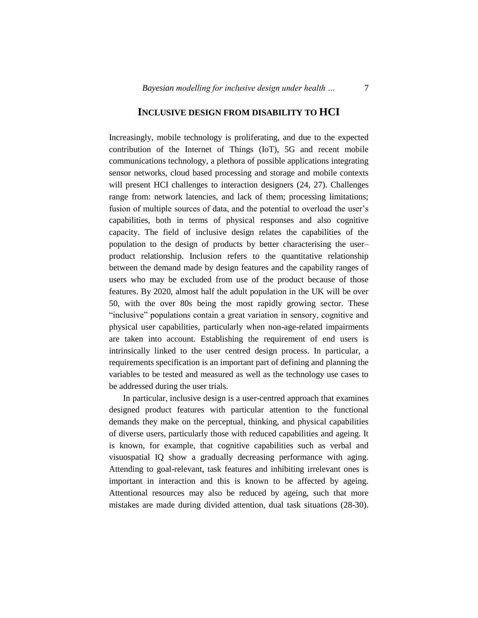# **INCLUSIVE DESIGN FROM DISABILITY TO HCI**

Increasingly, mobile technology is proliferating, and due to the expected contribution of the Internet of Things (IoT), 5G and recent mobile communications technology, a plethora of possible applications integrating sensor networks, cloud based processing and storage and mobile contexts will present HCI challenges to interaction designers (24, 27). Challenges range from: network latencies, and lack of them; processing limitations; fusion of multiple sources of data, and the potential to overload the user's capabilities, both in terms of physical responses and also cognitive capacity. The field of inclusive design relates the capabilities of the population to the design of products by better characterising the user– product relationship. Inclusion refers to the quantitative relationship between the demand made by design features and the capability ranges of users who may be excluded from use of the product because of those features. By 2020, almost half the adult population in the UK will be over 50, with the over 80s being the most rapidly growing sector. These "inclusive" populations contain a great variation in sensory, cognitive and physical user capabilities, particularly when non-age-related impairments are taken into account. Establishing the requirement of end users is intrinsically linked to the user centred design process. In particular, a requirements specification is an important part of defining and planning the variables to be tested and measured as well as the technology use cases to be addressed during the user trials.

In particular, inclusive design is a user-centred approach that examines designed product features with particular attention to the functional demands they make on the perceptual, thinking, and physical capabilities of diverse users, particularly those with reduced capabilities and ageing. It is known, for example, that cognitive capabilities such as verbal and visuospatial IQ show a gradually decreasing performance with aging. Attending to goal-relevant, task features and inhibiting irrelevant ones is important in interaction and this is known to be affected by ageing. Attentional resources may also be reduced by ageing, such that more mistakes are made during divided attention, dual task situations (28-30).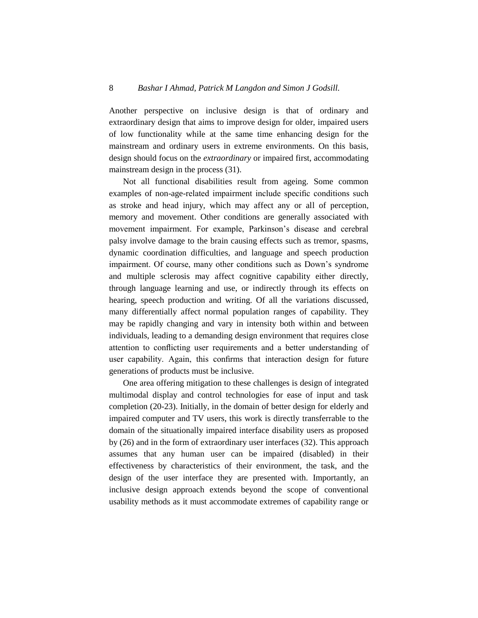Another perspective on inclusive design is that of ordinary and extraordinary design that aims to improve design for older, impaired users of low functionality while at the same time enhancing design for the mainstream and ordinary users in extreme environments. On this basis, design should focus on the *extraordinary* or impaired first, accommodating mainstream design in the process (31).

Not all functional disabilities result from ageing. Some common examples of non-age-related impairment include specific conditions such as stroke and head injury, which may affect any or all of perception, memory and movement. Other conditions are generally associated with movement impairment. For example, Parkinson's disease and cerebral palsy involve damage to the brain causing effects such as tremor, spasms, dynamic coordination difficulties, and language and speech production impairment. Of course, many other conditions such as Down's syndrome and multiple sclerosis may affect cognitive capability either directly, through language learning and use, or indirectly through its effects on hearing, speech production and writing. Of all the variations discussed, many differentially affect normal population ranges of capability. They may be rapidly changing and vary in intensity both within and between individuals, leading to a demanding design environment that requires close attention to conflicting user requirements and a better understanding of user capability. Again, this confirms that interaction design for future generations of products must be inclusive.

One area offering mitigation to these challenges is design of integrated multimodal display and control technologies for ease of input and task completion (20-23). Initially, in the domain of better design for elderly and impaired computer and TV users, this work is directly transferrable to the domain of the situationally impaired interface disability users as proposed by (26) and in the form of extraordinary user interfaces (32). This approach assumes that any human user can be impaired (disabled) in their effectiveness by characteristics of their environment, the task, and the design of the user interface they are presented with. Importantly, an inclusive design approach extends beyond the scope of conventional usability methods as it must accommodate extremes of capability range or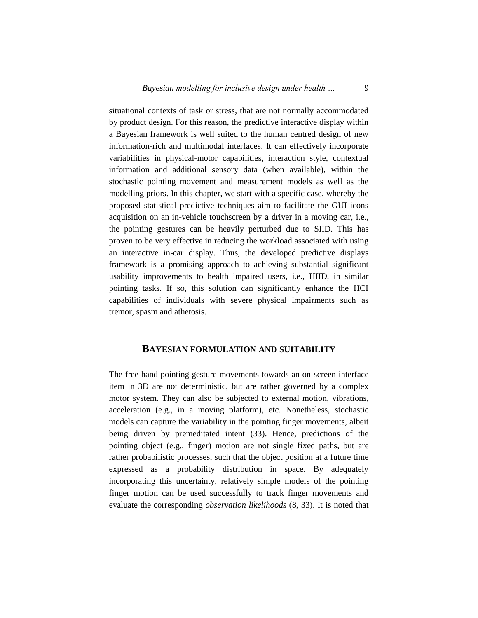situational contexts of task or stress, that are not normally accommodated by product design. For this reason, the predictive interactive display within a Bayesian framework is well suited to the human centred design of new information-rich and multimodal interfaces. It can effectively incorporate variabilities in physical-motor capabilities, interaction style, contextual information and additional sensory data (when available), within the stochastic pointing movement and measurement models as well as the modelling priors. In this chapter, we start with a specific case, whereby the proposed statistical predictive techniques aim to facilitate the GUI icons acquisition on an in-vehicle touchscreen by a driver in a moving car, i.e., the pointing gestures can be heavily perturbed due to SIID. This has proven to be very effective in reducing the workload associated with using an interactive in-car display. Thus, the developed predictive displays framework is a promising approach to achieving substantial significant usability improvements to health impaired users, i.e., HIID, in similar pointing tasks. If so, this solution can significantly enhance the HCI capabilities of individuals with severe physical impairments such as tremor, spasm and athetosis.

# **BAYESIAN FORMULATION AND SUITABILITY**

The free hand pointing gesture movements towards an on-screen interface item in 3D are not deterministic, but are rather governed by a complex motor system. They can also be subjected to external motion, vibrations, acceleration (e.g., in a moving platform), etc. Nonetheless, stochastic models can capture the variability in the pointing finger movements, albeit being driven by premeditated intent (33). Hence, predictions of the pointing object (e.g., finger) motion are not single fixed paths, but are rather probabilistic processes, such that the object position at a future time expressed as a probability distribution in space. By adequately incorporating this uncertainty, relatively simple models of the pointing finger motion can be used successfully to track finger movements and evaluate the corresponding *observation likelihoods* (8, 33). It is noted that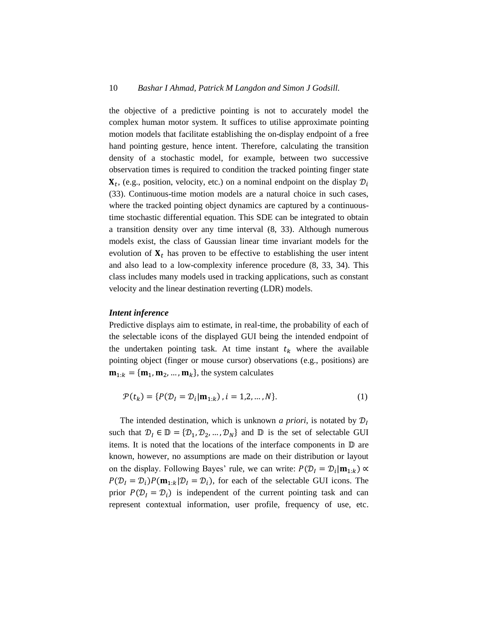the objective of a predictive pointing is not to accurately model the complex human motor system. It suffices to utilise approximate pointing motion models that facilitate establishing the on-display endpoint of a free hand pointing gesture, hence intent. Therefore, calculating the transition density of a stochastic model, for example, between two successive observation times is required to condition the tracked pointing finger state  $\mathbf{X}_t$ , (e.g., position, velocity, etc.) on a nominal endpoint on the display  $\mathcal{D}_t$ (33). Continuous-time motion models are a natural choice in such cases, where the tracked pointing object dynamics are captured by a continuoustime stochastic differential equation. This SDE can be integrated to obtain a transition density over any time interval (8, 33). Although numerous models exist, the class of Gaussian linear time invariant models for the evolution of  $X_t$  has proven to be effective to establishing the user intent and also lead to a low-complexity inference procedure (8, 33, 34). This class includes many models used in tracking applications, such as constant velocity and the linear destination reverting (LDR) models.

#### *Intent inference*

Predictive displays aim to estimate, in real-time, the probability of each of the selectable icons of the displayed GUI being the intended endpoint of the undertaken pointing task. At time instant  $t_k$  where the available pointing object (finger or mouse cursor) observations (e.g., positions) are  $\mathbf{m}_{1:k} = {\mathbf{m}_1, \mathbf{m}_2, ..., \mathbf{m}_k}$ , the system calculates

$$
\mathcal{P}(t_k) = \{ P(\mathcal{D}_l = \mathcal{D}_l | \mathbf{m}_{1:k}), i = 1, 2, ..., N \}.
$$
 (1)

The intended destination, which is unknown *a priori*, is notated by  $\mathcal{D}_I$ such that  $\mathcal{D}_I \in \mathbb{D} = {\{\mathcal{D}_1, \mathcal{D}_2, ..., \mathcal{D}_N\}}$  and  $\mathbb D$  is the set of selectable GUI items. It is noted that the locations of the interface components in  $D$  are known, however, no assumptions are made on their distribution or layout on the display. Following Bayes' rule, we can write:  $P(D_l = D_l | \mathbf{m}_{1:k}) \propto$  $P(\mathcal{D}_I = \mathcal{D}_i)P(\mathbf{m}_{1:k}|\mathcal{D}_I = \mathcal{D}_i)$ , for each of the selectable GUI icons. The prior  $P(D_i = D_i)$  is independent of the current pointing task and can represent contextual information, user profile, frequency of use, etc.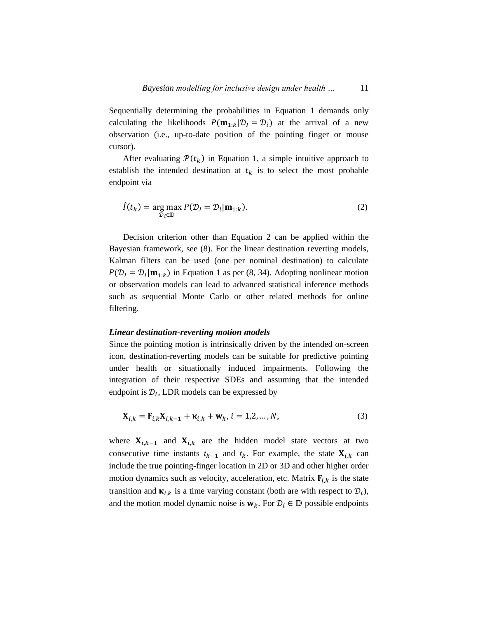Sequentially determining the probabilities in Equation 1 demands only calculating the likelihoods  $P(\mathbf{m}_{1:k}|\mathcal{D}_I = \mathcal{D}_i)$  at the arrival of a new observation (i.e., up-to-date position of the pointing finger or mouse cursor).

After evaluating  $\mathcal{P}(t_k)$  in Equation 1, a simple intuitive approach to establish the intended destination at  $t_k$  is to select the most probable endpoint via

$$
\hat{I}(t_k) = \underset{\mathcal{D}_i \in \mathbb{D}}{\arg \max} P(\mathcal{D}_I = \mathcal{D}_i | \mathbf{m}_{1:k}).
$$
\n(2)

Decision criterion other than Equation 2 can be applied within the Bayesian framework, see (8). For the linear destination reverting models, Kalman filters can be used (one per nominal destination) to calculate  $P(\mathcal{D}_I = \mathcal{D}_i | \mathbf{m}_{1:k})$  in Equation 1 as per (8, 34). Adopting nonlinear motion or observation models can lead to advanced statistical inference methods such as sequential Monte Carlo or other related methods for online filtering.

#### *Linear destination-reverting motion models*

Since the pointing motion is intrinsically driven by the intended on-screen icon, destination-reverting models can be suitable for predictive pointing under health or situationally induced impairments. Following the integration of their respective SDEs and assuming that the intended endpoint is  $\mathcal{D}_i$ , LDR models can be expressed by

$$
\mathbf{X}_{i,k} = \mathbf{F}_{i,k} \mathbf{X}_{i,k-1} + \mathbf{\kappa}_{i,k} + \mathbf{w}_k, i = 1,2,...,N,
$$
\n(3)

where  $X_{i,k-1}$  and  $X_{i,k}$  are the hidden model state vectors at two consecutive time instants  $t_{k-1}$  and  $t_k$ . For example, the state  $\mathbf{X}_{i,k}$  can include the true pointing-finger location in 2D or 3D and other higher order motion dynamics such as velocity, acceleration, etc. Matrix  $F_{i,k}$  is the state transition and  $\kappa_{i,k}$  is a time varying constant (both are with respect to  $\mathcal{D}_i$ ), and the motion model dynamic noise is  $w_k$ . For  $\mathcal{D}_i \in \mathbb{D}$  possible endpoints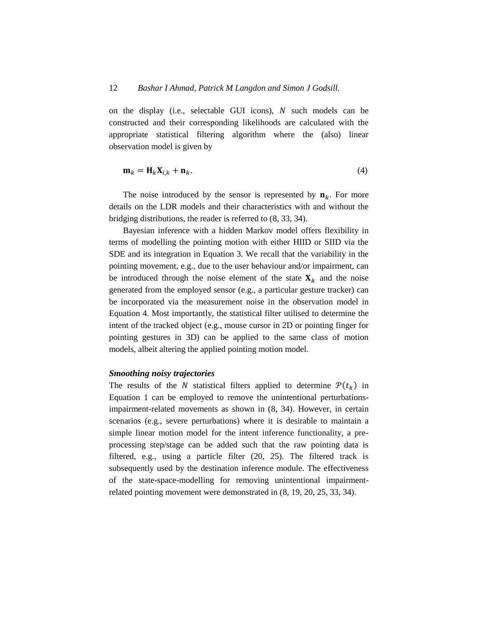on the display (i.e., selectable GUI icons),  $N$  such models can be constructed and their corresponding likelihoods are calculated with the appropriate statistical filtering algorithm where the (also) linear observation model is given by

$$
\mathbf{m}_k = \mathbf{H}_k \mathbf{X}_{i,k} + \mathbf{n}_k. \tag{4}
$$

The noise introduced by the sensor is represented by  $n_k$ . For more details on the LDR models and their characteristics with and without the bridging distributions, the reader is referred to (8, 33, 34).

Bayesian inference with a hidden Markov model offers flexibility in terms of modelling the pointing motion with either HIID or SIID via the SDE and its integration in Equation 3. We recall that the variability in the pointing movement, e.g., due to the user behaviour and/or impairment, can be introduced through the noise element of the state  $X_k$  and the noise generated from the employed sensor (e.g., a particular gesture tracker) can be incorporated via the measurement noise in the observation model in Equation 4. Most importantly, the statistical filter utilised to determine the intent of the tracked object (e.g., mouse cursor in 2D or pointing finger for pointing gestures in 3D) can be applied to the same class of motion models, albeit altering the applied pointing motion model.

#### *Smoothing noisy trajectories*

The results of the N statistical filters applied to determine  $\mathcal{P}(t_k)$  in Equation 1 can be employed to remove the unintentional perturbationsimpairment-related movements as shown in (8, 34). However, in certain scenarios (e.g., severe perturbations) where it is desirable to maintain a simple linear motion model for the intent inference functionality, a preprocessing step/stage can be added such that the raw pointing data is filtered, e.g., using a particle filter (20, 25). The filtered track is subsequently used by the destination inference module. The effectiveness of the state-space-modelling for removing unintentional impairmentrelated pointing movement were demonstrated in (8, 19, 20, 25, 33, 34).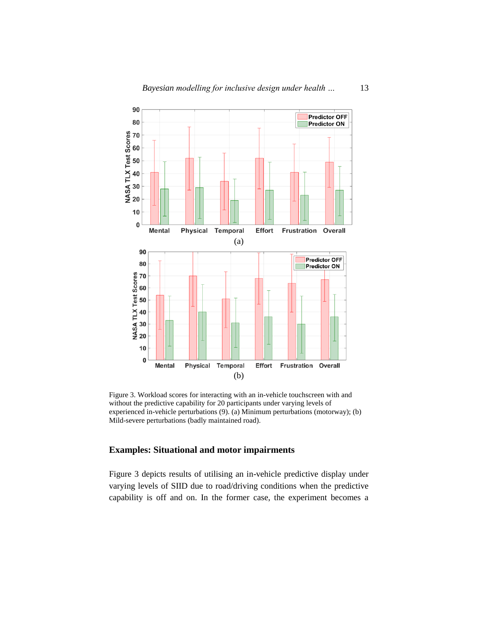

Figure 3. Workload scores for interacting with an in-vehicle touchscreen with and without the predictive capability for 20 participants under varying levels of experienced in-vehicle perturbations (9). (a) Minimum perturbations (motorway); (b) Mild-severe perturbations (badly maintained road).

# **Examples: Situational and motor impairments**

Figure 3 depicts results of utilising an in-vehicle predictive display under varying levels of SIID due to road/driving conditions when the predictive capability is off and on. In the former case, the experiment becomes a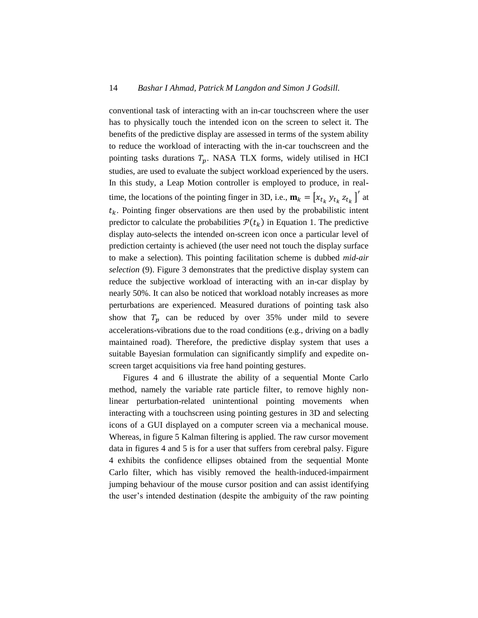conventional task of interacting with an in-car touchscreen where the user has to physically touch the intended icon on the screen to select it. The benefits of the predictive display are assessed in terms of the system ability to reduce the workload of interacting with the in-car touchscreen and the pointing tasks durations  $T_p$ . NASA TLX forms, widely utilised in HCI studies, are used to evaluate the subject workload experienced by the users. In this study, a Leap Motion controller is employed to produce, in realtime, the locations of the pointing finger in 3D, i.e.,  $\mathbf{m}_k = [x_{t_k} y_{t_k} z_{t_k}]'$  at  $t_k$ . Pointing finger observations are then used by the probabilistic intent predictor to calculate the probabilities  $P(t_k)$  in Equation 1. The predictive display auto-selects the intended on-screen icon once a particular level of prediction certainty is achieved (the user need not touch the display surface to make a selection). This pointing facilitation scheme is dubbed *mid-air selection* (9). Figure 3 demonstrates that the predictive display system can reduce the subjective workload of interacting with an in-car display by nearly 50%. It can also be noticed that workload notably increases as more perturbations are experienced. Measured durations of pointing task also show that  $T_p$  can be reduced by over 35% under mild to severe accelerations-vibrations due to the road conditions (e.g., driving on a badly maintained road). Therefore, the predictive display system that uses a suitable Bayesian formulation can significantly simplify and expedite onscreen target acquisitions via free hand pointing gestures.

Figures 4 and 6 illustrate the ability of a sequential Monte Carlo method, namely the variable rate particle filter, to remove highly nonlinear perturbation-related unintentional pointing movements when interacting with a touchscreen using pointing gestures in 3D and selecting icons of a GUI displayed on a computer screen via a mechanical mouse. Whereas, in figure 5 Kalman filtering is applied. The raw cursor movement data in figures 4 and 5 is for a user that suffers from cerebral palsy. Figure 4 exhibits the confidence ellipses obtained from the sequential Monte Carlo filter, which has visibly removed the health-induced-impairment jumping behaviour of the mouse cursor position and can assist identifying the user's intended destination (despite the ambiguity of the raw pointing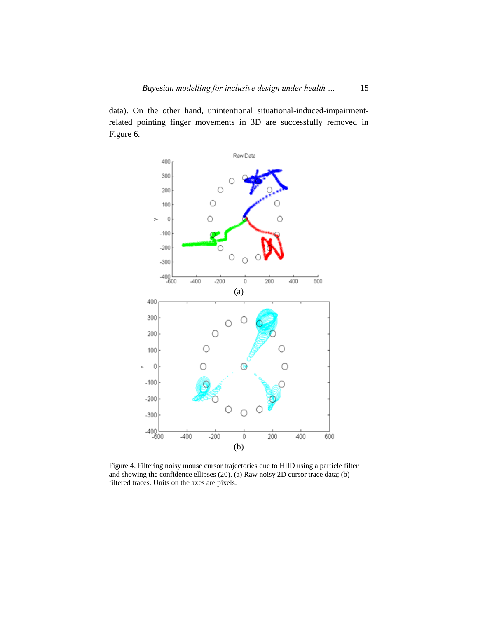data). On the other hand, unintentional situational-induced-impairmentrelated pointing finger movements in 3D are successfully removed in Figure 6.



Figure 4. Filtering noisy mouse cursor trajectories due to HIID using a particle filter and showing the confidence ellipses (20). (a) Raw noisy 2D cursor trace data; (b) filtered traces. Units on the axes are pixels.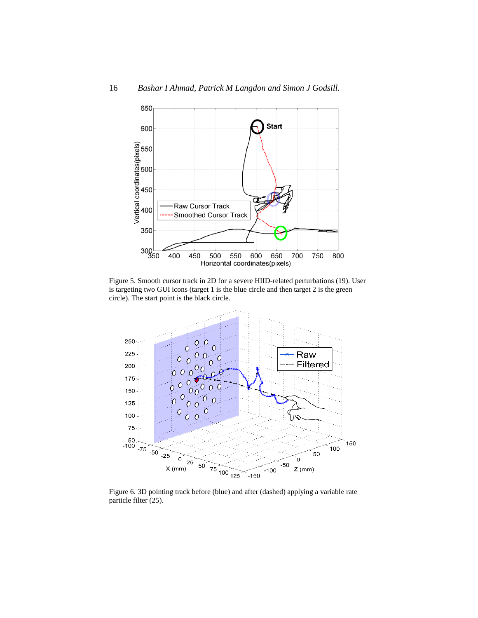

Figure 5. Smooth cursor track in 2D for a severe HIID-related perturbations (19). User is targeting two GUI icons (target 1 is the blue circle and then target 2 is the green circle). The start point is the black circle.



Figure 6. 3D pointing track before (blue) and after (dashed) applying a variable rate particle filter (25).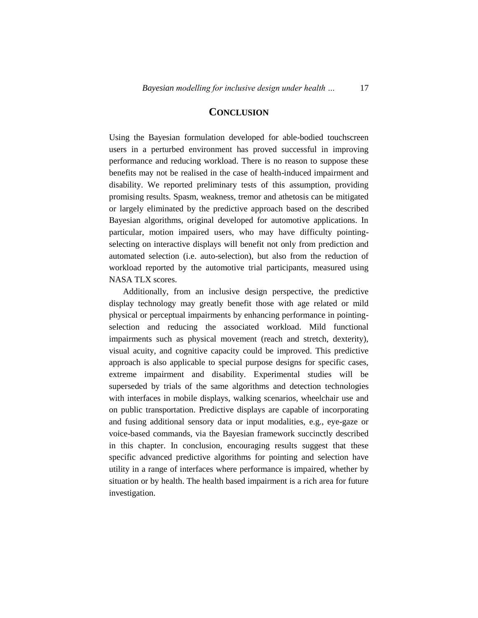# **CONCLUSION**

Using the Bayesian formulation developed for able-bodied touchscreen users in a perturbed environment has proved successful in improving performance and reducing workload. There is no reason to suppose these benefits may not be realised in the case of health-induced impairment and disability. We reported preliminary tests of this assumption, providing promising results. Spasm, weakness, tremor and athetosis can be mitigated or largely eliminated by the predictive approach based on the described Bayesian algorithms, original developed for automotive applications. In particular, motion impaired users, who may have difficulty pointingselecting on interactive displays will benefit not only from prediction and automated selection (i.e. auto-selection), but also from the reduction of workload reported by the automotive trial participants, measured using NASA TLX scores.

Additionally, from an inclusive design perspective, the predictive display technology may greatly benefit those with age related or mild physical or perceptual impairments by enhancing performance in pointingselection and reducing the associated workload. Mild functional impairments such as physical movement (reach and stretch, dexterity), visual acuity, and cognitive capacity could be improved. This predictive approach is also applicable to special purpose designs for specific cases, extreme impairment and disability. Experimental studies will be superseded by trials of the same algorithms and detection technologies with interfaces in mobile displays, walking scenarios, wheelchair use and on public transportation. Predictive displays are capable of incorporating and fusing additional sensory data or input modalities, e.g., eye-gaze or voice-based commands, via the Bayesian framework succinctly described in this chapter. In conclusion, encouraging results suggest that these specific advanced predictive algorithms for pointing and selection have utility in a range of interfaces where performance is impaired, whether by situation or by health. The health based impairment is a rich area for future investigation.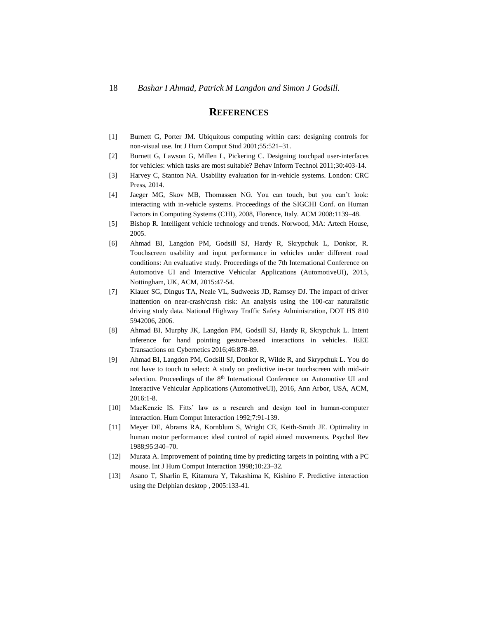### **REFERENCES**

- [1] Burnett G, Porter JM. Ubiquitous computing within cars: designing controls for non-visual use. Int J Hum Comput Stud 2001;55:521–31.
- [2] Burnett G, Lawson G, Millen L, Pickering C. Designing touchpad user-interfaces for vehicles: which tasks are most suitable? Behav Inform Technol 2011;30:403-14.
- [3] Harvey C, Stanton NA. Usability evaluation for in-vehicle systems. London: CRC Press, 2014.
- [4] Jaeger MG, Skov MB, Thomassen NG. You can touch, but you can't look: interacting with in-vehicle systems. Proceedings of the SIGCHI Conf. on Human Factors in Computing Systems (CHI), 2008, Florence, Italy. ACM 2008:1139–48.
- [5] Bishop R. Intelligent vehicle technology and trends. Norwood, MA: Artech House, 2005.
- [6] Ahmad BI, Langdon PM, Godsill SJ, Hardy R, Skrypchuk L, Donkor, R. Touchscreen usability and input performance in vehicles under different road conditions: An evaluative study. Proceedings of the 7th International Conference on Automotive UI and Interactive Vehicular Applications (AutomotiveUI), 2015, Nottingham, UK, ACM, 2015:47-54.
- [7] Klauer SG, Dingus TA, Neale VL, Sudweeks JD, Ramsey DJ. The impact of driver inattention on near-crash/crash risk: An analysis using the 100-car naturalistic driving study data. National Highway Traffic Safety Administration, DOT HS 810 5942006, 2006.
- [8] Ahmad BI, Murphy JK, Langdon PM, Godsill SJ, Hardy R, Skrypchuk L. Intent inference for hand pointing gesture-based interactions in vehicles. IEEE Transactions on Cybernetics 2016;46:878-89.
- [9] Ahmad BI, Langdon PM, Godsill SJ, Donkor R, Wilde R, and Skrypchuk L. You do not have to touch to select: A study on predictive in-car touchscreen with mid-air selection. Proceedings of the 8<sup>th</sup> International Conference on Automotive UI and Interactive Vehicular Applications (AutomotiveUI), 2016, Ann Arbor, USA, ACM, 2016:1-8.
- [10] MacKenzie IS. Fitts' law as a research and design tool in human-computer interaction. Hum Comput Interaction 1992;7:91-139.
- [11] Meyer DE, Abrams RA, Kornblum S, Wright CE, Keith-Smith JE. Optimality in human motor performance: ideal control of rapid aimed movements. Psychol Rev 1988;95:340–70.
- [12] Murata A. Improvement of pointing time by predicting targets in pointing with a PC mouse. Int J Hum Comput Interaction 1998;10:23–32.
- [13] Asano T, Sharlin E, Kitamura Y, Takashima K, Kishino F. Predictive interaction using the Delphian desktop , 2005:133-41.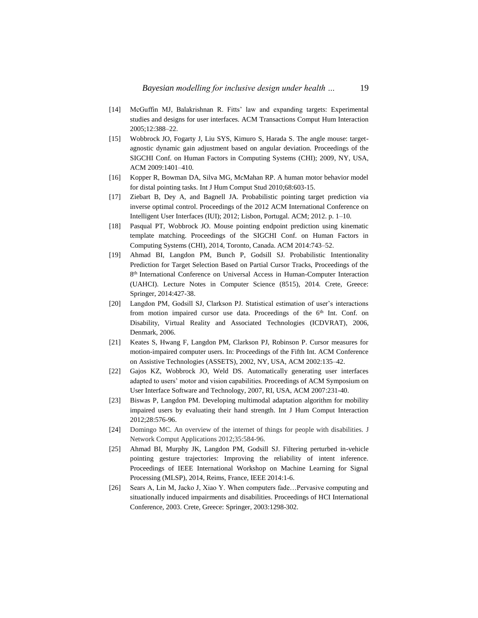- [14] McGuffin MJ, Balakrishnan R. Fitts' law and expanding targets: Experimental studies and designs for user interfaces. ACM Transactions Comput Hum Interaction 2005;12:388–22.
- [15] Wobbrock JO, Fogarty J, Liu SYS, Kimuro S, Harada S. The angle mouse: targetagnostic dynamic gain adjustment based on angular deviation. Proceedings of the SIGCHI Conf. on Human Factors in Computing Systems (CHI); 2009, NY, USA, ACM 2009:1401–410.
- [16] Kopper R, Bowman DA, Silva MG, McMahan RP. A human motor behavior model for distal pointing tasks. Int J Hum Comput Stud 2010;68:603-15.
- [17] Ziebart B, Dey A, and Bagnell JA. Probabilistic pointing target prediction via inverse optimal control. Proceedings of the 2012 ACM International Conference on Intelligent User Interfaces (IUI); 2012; Lisbon, Portugal. ACM; 2012. p. 1–10.
- [18] Pasqual PT, Wobbrock JO. Mouse pointing endpoint prediction using kinematic template matching. Proceedings of the SIGCHI Conf. on Human Factors in Computing Systems (CHI), 2014, Toronto, Canada. ACM 2014:743–52.
- [19] Ahmad BI, Langdon PM, Bunch P, Godsill SJ. Probabilistic Intentionality Prediction for Target Selection Based on Partial Cursor Tracks, Proceedings of the 8<sup>th</sup> International Conference on Universal Access in Human-Computer Interaction (UAHCI). Lecture Notes in Computer Science (8515), 2014. Crete, Greece: Springer, 2014:427-38.
- [20] Langdon PM, Godsill SJ, Clarkson PJ. Statistical estimation of user's interactions from motion impaired cursor use data. Proceedings of the 6<sup>th</sup> Int. Conf. on Disability, Virtual Reality and Associated Technologies (ICDVRAT), 2006, Denmark, 2006.
- [21] Keates S, Hwang F, Langdon PM, Clarkson PJ, Robinson P. Cursor measures for motion-impaired computer users. In: Proceedings of the Fifth Int. ACM Conference on Assistive Technologies (ASSETS), 2002, NY, USA, ACM 2002:135–42.
- [22] Gajos KZ, Wobbrock JO, Weld DS. Automatically generating user interfaces adapted to users' motor and vision capabilities. Proceedings of ACM Symposium on User Interface Software and Technology, 2007, RI, USA, ACM 2007:231-40.
- [23] Biswas P, Langdon PM. Developing multimodal adaptation algorithm for mobility impaired users by evaluating their hand strength. Int J Hum Comput Interaction 2012;28:576-96.
- [24] Domingo MC. An overview of the internet of things for people with disabilities. J Network Comput Applications 2012;35:584-96.
- [25] Ahmad BI, Murphy JK, Langdon PM, Godsill SJ. Filtering perturbed in-vehicle pointing gesture trajectories: Improving the reliability of intent inference. Proceedings of IEEE International Workshop on Machine Learning for Signal Processing (MLSP), 2014, Reims, France, IEEE 2014:1-6.
- [26] Sears A, Lin M, Jacko J, Xiao Y. When computers fade…Pervasive computing and situationally induced impairments and disabilities. Proceedings of HCI International Conference, 2003. Crete, Greece: Springer, 2003:1298-302.